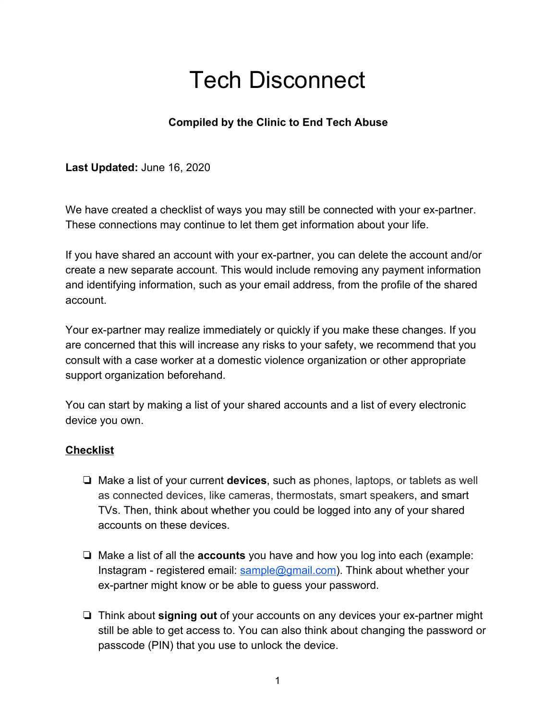# Tech Disconnect

# **Compiled by the Clinic to End Tech Abuse**

**Last Updated:** June 16, 2020

We have created a checklist of ways you may still be connected with your ex-partner. These connections may continue to let them get information about your life.

If you have shared an account with your ex-partner, you can delete the account and/or create a new separate account. This would include removing any payment information and identifying information, such as your email address, from the profile of the shared account.

Your ex-partner may realize immediately or quickly if you make these changes. If you are concerned that this will increase any risks to your safety, we recommend that you consult with a case worker at a domestic violence organization or other appropriate support organization beforehand.

You can start by making a list of your shared accounts and a list of every electronic device you own.

# **Checklist**

- ❏ Make a list of your current **devices**, such as phones, laptops, or tablets as well as connected devices, like cameras, thermostats, smart speakers, and smart TVs. Then, think about whether you could be logged into any of your shared accounts on these devices.
- ❏ Make a list of all the **accounts** you have and how you log into each (example: Instagram - registered email: sample@gmail.com). Think about whether your ex-partner might know or be able to guess your password.
- ❏ Think about **signing out** of your accounts on any devices your ex-partner might still be able to get access to. You can also think about changing the password or passcode (PIN) that you use to unlock the device.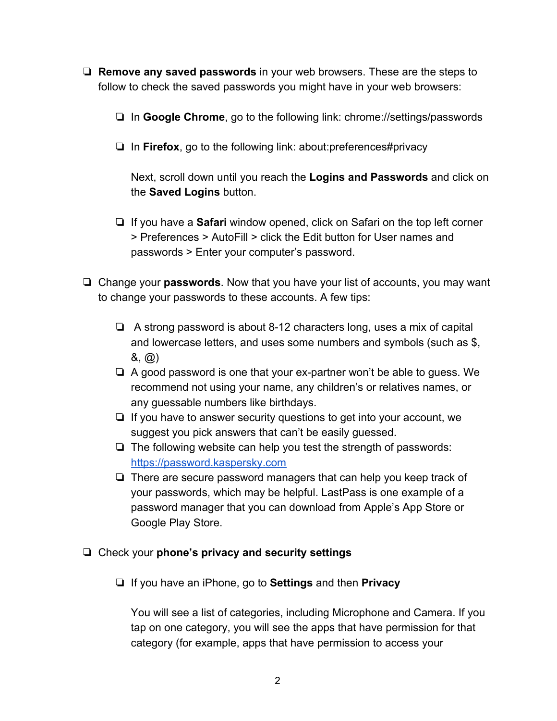- ❏ **Remove any saved passwords** in your web browsers. These are the steps to follow to check the saved passwords you might have in your web browsers:
	- ❏ In **Google Chrome**, go to the following link: chrome://settings/passwords
	- ❏ In **Firefox**, go to the following link: about:preferences#privacy

Next, scroll down until you reach the **Logins and Passwords** and click on the **Saved Logins** button.

- ❏ If you have a **Safari** window opened, click on Safari on the top left corner > Preferences > AutoFill > click the Edit button for User names and passwords > Enter your computer's password.
- ❏ Change your **passwords**. Now that you have your list of accounts, you may want to change your passwords to these accounts. A few tips:
	- ❏ A strong password is about 8-12 characters long, uses a mix of capital and lowercase letters, and uses some numbers and symbols (such as \$, &, @)
	- ❏ A good password is one that your ex-partner won't be able to guess. We recommend not using your name, any children's or relatives names, or any guessable numbers like birthdays.
	- ❏ If you have to answer security questions to get into your account, we suggest you pick answers that can't be easily guessed.
	- ❏ The following website can help you test the strength of passwords: https://password.kaspersky.com
	- ❏ There are secure password managers that can help you keep track of your passwords, which may be helpful. LastPass is one example of a password manager that you can download from Apple's App Store or Google Play Store.
- ❏ Check your **phone's privacy and security settings**
	- ❏ If you have an iPhone, go to **Settings** and then **Privacy**

You will see a list of categories, including Microphone and Camera. If you tap on one category, you will see the apps that have permission for that category (for example, apps that have permission to access your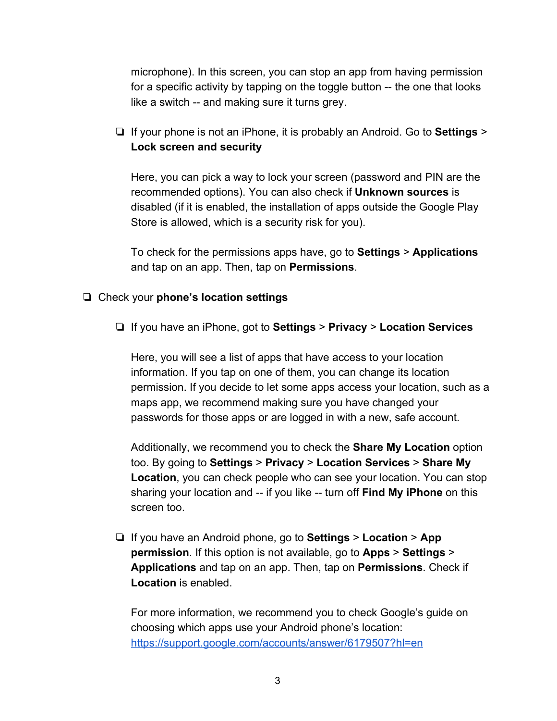microphone). In this screen, you can stop an app from having permission for a specific activity by tapping on the toggle button -- the one that looks like a switch -- and making sure it turns grey.

❏ If your phone is not an iPhone, it is probably an Android. Go to **Settings** > **Lock screen and security**

Here, you can pick a way to lock your screen (password and PIN are the recommended options). You can also check if **Unknown sources** is disabled (if it is enabled, the installation of apps outside the Google Play Store is allowed, which is a security risk for you).

To check for the permissions apps have, go to **Settings** > **Applications** and tap on an app. Then, tap on **Permissions**.

#### ❏ Check your **phone's location settings**

❏ If you have an iPhone, got to **Settings** > **Privacy** > **Location Services**

Here, you will see a list of apps that have access to your location information. If you tap on one of them, you can change its location permission. If you decide to let some apps access your location, such as a maps app, we recommend making sure you have changed your passwords for those apps or are logged in with a new, safe account.

Additionally, we recommend you to check the **Share My Location** option too. By going to **Settings** > **Privacy** > **Location Services** > **Share My Location**, you can check people who can see your location. You can stop sharing your location and -- if you like -- turn off **Find My iPhone** on this screen too.

❏ If you have an Android phone, go to **Settings** > **Location** > **App permission**. If this option is not available, go to **Apps** > **Settings** > **Applications** and tap on an app. Then, tap on **Permissions**. Check if **Location** is enabled.

For more information, we recommend you to check Google's guide on choosing which apps use your Android phone's location: https://support.google.com/accounts/answer/6179507?hl=en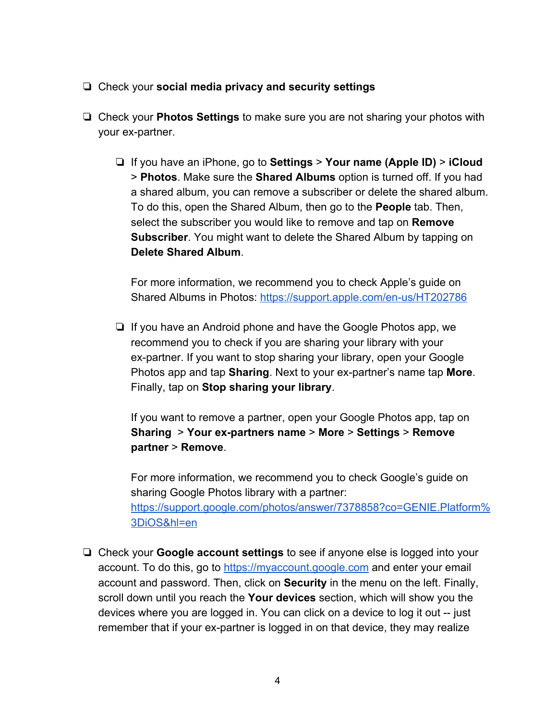- ❏ Check your **social media privacy and security settings**
- ❏ Check your **Photos Settings** to make sure you are not sharing your photos with your ex-partner.
	- ❏ If you have an iPhone, go to **Settings** > **Your name (Apple ID)** > **iCloud** > **Photos**. Make sure the **Shared Albums** option is turned off. If you had a shared album, you can remove a subscriber or delete the shared album. To do this, open the Shared Album, then go to the **People** tab. Then, select the subscriber you would like to remove and tap on **Remove Subscriber**. You might want to delete the Shared Album by tapping on **Delete Shared Album**.

For more information, we recommend you to check Apple's guide on Shared Albums in Photos: https://support.apple.com/en-us/HT202786

❏ If you have an Android phone and have the Google Photos app, we recommend you to check if you are sharing your library with your ex-partner. If you want to stop sharing your library, open your Google Photos app and tap **Sharing**. Next to your ex-partner's name tap **More**. Finally, tap on **Stop sharing your library**.

If you want to remove a partner, open your Google Photos app, tap on **Sharing** > **Your ex-partners name** > **More** > **Settings** > **Remove partner** > **Remove**.

For more information, we recommend you to check Google's guide on sharing Google Photos library with a partner: https://support.google.com/photos/answer/7378858?co=GENIE.Platform% 3DiOS&hl=en

❏ Check your **Google account settings** to see if anyone else is logged into your account. To do this, go to https://myaccount.google.com and enter your email account and password. Then, click on **Security** in the menu on the left. Finally, scroll down until you reach the **Your devices** section, which will show you the devices where you are logged in. You can click on a device to log it out -- just remember that if your ex-partner is logged in on that device, they may realize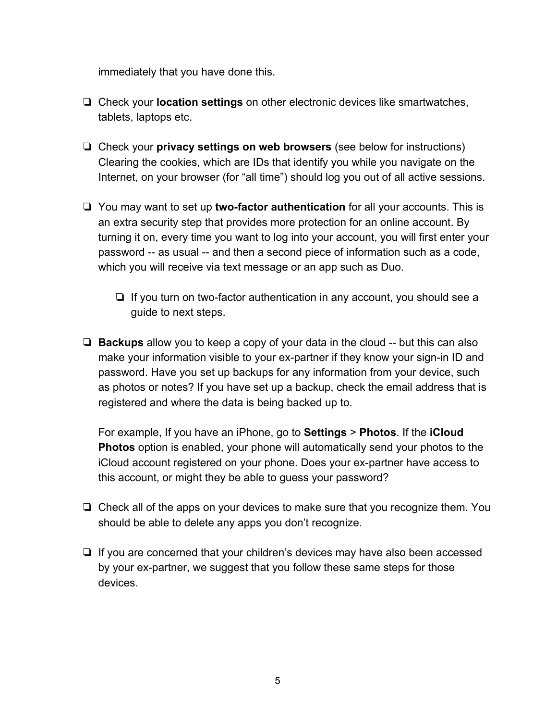immediately that you have done this.

- ❏ Check your **location settings** on other electronic devices like smartwatches, tablets, laptops etc.
- ❏ Check your **privacy settings on web browsers** (see below for instructions) Clearing the cookies, which are IDs that identify you while you navigate on the Internet, on your browser (for "all time") should log you out of all active sessions.
- ❏ You may want to set up **two-factor authentication** for all your accounts. This is an extra security step that provides more protection for an online account. By turning it on, every time you want to log into your account, you will first enter your password -- as usual -- and then a second piece of information such as a code, which you will receive via text message or an app such as Duo.
	- ❏ If you turn on two-factor authentication in any account, you should see a guide to next steps.
- ❏ **Backups** allow you to keep a copy of your data in the cloud -- but this can also make your information visible to your ex-partner if they know your sign-in ID and password. Have you set up backups for any information from your device, such as photos or notes? If you have set up a backup, check the email address that is registered and where the data is being backed up to.

For example, If you have an iPhone, go to **Settings** > **Photos**. If the **iCloud Photos** option is enabled, your phone will automatically send your photos to the iCloud account registered on your phone. Does your ex-partner have access to this account, or might they be able to guess your password?

- ❏ Check all of the apps on your devices to make sure that you recognize them. You should be able to delete any apps you don't recognize.
- ❏ If you are concerned that your children's devices may have also been accessed by your ex-partner, we suggest that you follow these same steps for those devices.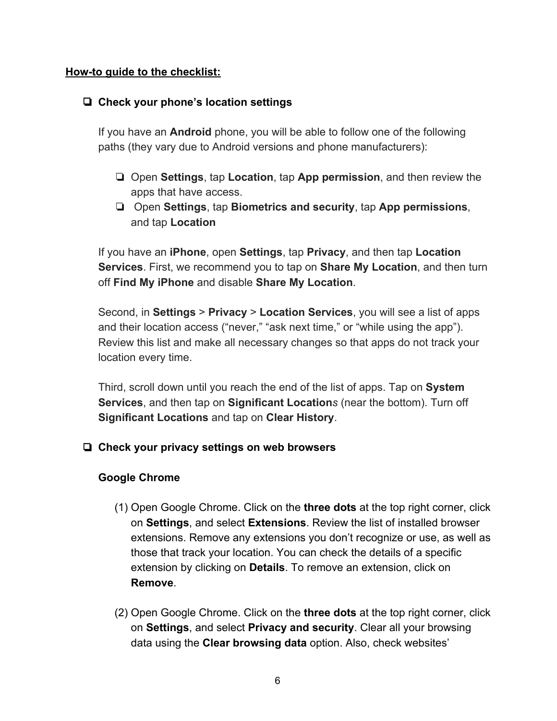#### **How-to guide to the checklist:**

# ❏ **Check your phone's location settings**

If you have an **Android** phone, you will be able to follow one of the following paths (they vary due to Android versions and phone manufacturers):

- ❏ Open **Settings**, tap **Location**, tap **App permission**, and then review the apps that have access.
- ❏ Open **Settings**, tap **Biometrics and security**, tap **App permissions**, and tap **Location**

If you have an **iPhone**, open **Settings**, tap **Privacy**, and then tap **Location Services**. First, we recommend you to tap on **Share My Location**, and then turn off **Find My iPhone** and disable **Share My Location**.

Second, in **Settings** > **Privacy** > **Location Services**, you will see a list of apps and their location access ("never," "ask next time," or "while using the app"). Review this list and make all necessary changes so that apps do not track your location every time.

Third, scroll down until you reach the end of the list of apps. Tap on **System Services**, and then tap on **Significant Location***s* (near the bottom). Turn off **Significant Locations** and tap on **Clear History**.

# ❏ **Check your privacy settings on web browsers**

# **Google Chrome**

- (1) Open Google Chrome. Click on the **three dots** at the top right corner, click on **Settings**, and select **Extensions**. Review the list of installed browser extensions. Remove any extensions you don't recognize or use, as well as those that track your location. You can check the details of a specific extension by clicking on **Details**. To remove an extension, click on **Remove**.
- (2) Open Google Chrome. Click on the **three dots** at the top right corner, click on **Settings**, and select **Privacy and security**. Clear all your browsing data using the **Clear browsing data** option. Also, check websites'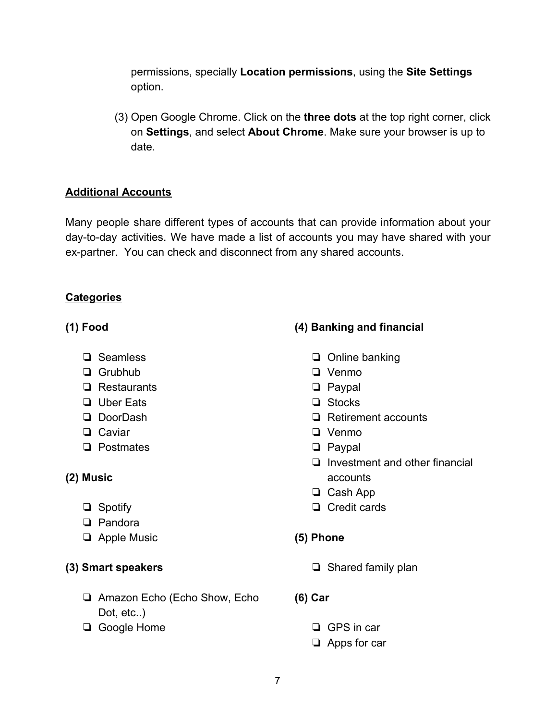permissions, specially **Location permissions**, using the **Site Settings** option.

(3) Open Google Chrome. Click on the **three dots** at the top right corner, click on **Settings**, and select **About Chrome**. Make sure your browser is up to date.

# **Additional Accounts**

Many people share different types of accounts that can provide information about your day-to-day activities. We have made a list of accounts you may have shared with your ex-partner. You can check and disconnect from any shared accounts.

# **Categories**

# **(1) Food**

- ❏ Seamless
- ❏ Grubhub
- ❏ Restaurants
- ❏ Uber Eats
- ❏ DoorDash
- ❏ Caviar
- ❏ Postmates

# **(2) Music**

- ❏ Spotify
- ❏ Pandora
- ❏ Apple Music

# **(3) Smart speakers**

- ❏ Amazon Echo (Echo Show, Echo Dot, etc..)
- ❏ Google Home

# **(4) Banking and financial**

- ❏ Online banking
- ❏ Venmo
- ❏ Paypal
- ❏ Stocks
- ❏ Retirement accounts
- ❏ Venmo
- ❏ Paypal
- ❏ Investment and other financial accounts
- ❏ Cash App
- ❏ Credit cards
- **(5) Phone**
	- ❏ Shared family plan
- **(6) Car**
	- ❏ GPS in car
	- ❏ Apps for car